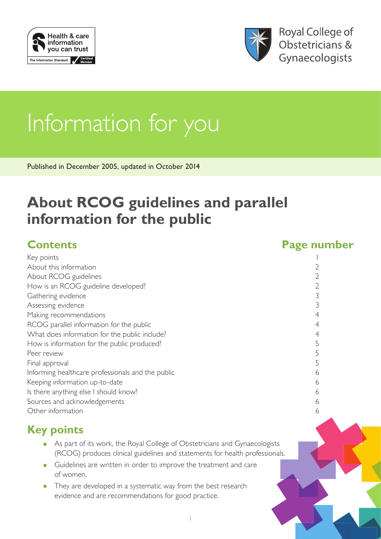



**Royal College of** Obstetricians & Gynaecologists

# Information for you

Published in December 2005, updated in October 2014

# **About RCOG guidelines and parallel information for the public**

#### **Contents Page number** Key points and the set of the set of the set of the set of the set of the set of the set of the set of the set of the set of the set of the set of the set of the set of the set of the set of the set of the set of the set o About this information 2 About RCOG guidelines 2 How is an RCOG guideline developed? 2 Gathering evidence 3 Assessing evidence 3 Making recommendations 4 RCOG parallel information for the public 4 4 What does information for the public include? 4 How is information for the public produced? 5 Peer review 5 Final approval 5 Informing healthcare professionals and the public 6 Keeping information up-to-date 6 Is there anything else I should know? 6 Sources and acknowledgements 6 Other information 6

# **Key points**

- As part of its work, the Royal College of Obstetricians and Gynaecologists (RCOG) produces clinical guidelines and statements for health professionals.
- Guidelines are written in order to improve the treatment and care of women.
- They are developed in a systematic way from the best research evidence and are recommendations for good practice.

1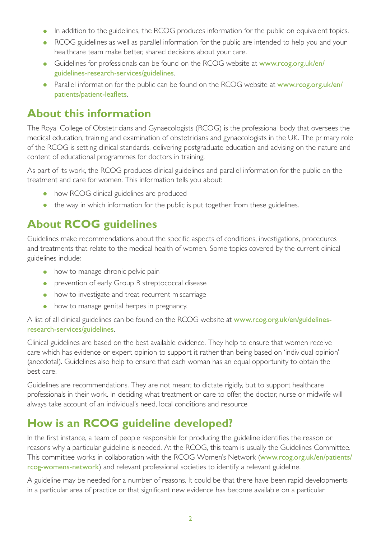- In addition to the guidelines, the RCOG produces information for the public on equivalent topics.
- RCOG guidelines as well as parallel information for the public are intended to help you and your healthcare team make better, shared decisions about your care.
- Guidelines for professionals can be found on the RCOG website at [www.rcog.org.uk/en/](https://www.rcog.org.uk/en/guidelines-research-services/guidelines/) [guidelines-research-services/guidelines](https://www.rcog.org.uk/en/guidelines-research-services/guidelines/).
- Parallel information for the public can be found on the RCOG website at [www.rcog.org.uk/en/](https://www.rcog.org.uk/en/patients/patient-leaflets/) [patients/patient-leaflets](https://www.rcog.org.uk/en/patients/patient-leaflets/).

# **About this information**

The Royal College of Obstetricians and Gynaecologists (RCOG) is the professional body that oversees the medical education, training and examination of obstetricians and gynaecologists in the UK. The primary role of the RCOG is setting clinical standards, delivering postgraduate education and advising on the nature and content of educational programmes for doctors in training.

As part of its work, the RCOG produces clinical guidelines and parallel information for the public on the treatment and care for women. This information tells you about:

- how RCOG clinical guidelines are produced
- the way in which information for the public is put together from these guidelines.

# **About RCOG guidelines**

Guidelines make recommendations about the specific aspects of conditions, investigations, procedures and treatments that relate to the medical health of women. Some topics covered by the current clinical guidelines include:

- how to manage chronic pelvic pain
- prevention of early Group B streptococcal disease
- how to investigate and treat recurrent miscarriage
- how to manage genital herpes in pregnancy.

A list of all clinical guidelines can be found on the RCOG website at [www.rcog.org.uk/en/guidelines](https://www.rcog.org.uk/en/guidelines-research-services/guidelines/)[research-services/guidelines](https://www.rcog.org.uk/en/guidelines-research-services/guidelines/).

Clinical guidelines are based on the best available evidence. They help to ensure that women receive care which has evidence or expert opinion to support it rather than being based on 'individual opinion' (anecdotal). Guidelines also help to ensure that each woman has an equal opportunity to obtain the best care.

Guidelines are recommendations. They are not meant to dictate rigidly, but to support healthcare professionals in their work. In deciding what treatment or care to offer, the doctor, nurse or midwife will always take account of an individual's need, local conditions and resource

# **How is an RCOG guideline developed?**

In the first instance, a team of people responsible for producing the guideline identifies the reason or reasons why a particular guideline is needed. At the RCOG, this team is usually the Guidelines Committee. This committee works in collaboration with the RCOG Women's Network ([www.rcog.org.uk/en/patients/](https://www.rcog.org.uk/en/patients/rcog-womens-network/) [rcog-womens-network](https://www.rcog.org.uk/en/patients/rcog-womens-network/)) and relevant professional societies to identify a relevant guideline.

A guideline may be needed for a number of reasons. It could be that there have been rapid developments in a particular area of practice or that significant new evidence has become available on a particular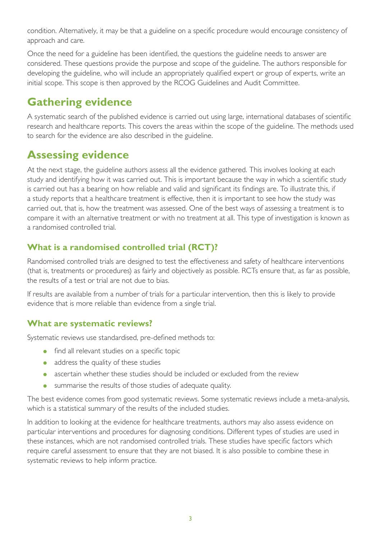condition. Alternatively, it may be that a guideline on a specific procedure would encourage consistency of approach and care.

Once the need for a guideline has been identified, the questions the guideline needs to answer are considered. These questions provide the purpose and scope of the guideline. The authors responsible for developing the guideline, who will include an appropriately qualified expert or group of experts, write an initial scope. This scope is then approved by the RCOG Guidelines and Audit Committee.

### **Gathering evidence**

A systematic search of the published evidence is carried out using large, international databases of scientific research and healthcare reports. This covers the areas within the scope of the guideline. The methods used to search for the evidence are also described in the guideline.

### **Assessing evidence**

At the next stage, the guideline authors assess all the evidence gathered. This involves looking at each study and identifying how it was carried out. This is important because the way in which a scientific study is carried out has a bearing on how reliable and valid and significant its findings are. To illustrate this, if a study reports that a healthcare treatment is effective, then it is important to see how the study was carried out, that is, how the treatment was assessed. One of the best ways of assessing a treatment is to compare it with an alternative treatment or with no treatment at all. This type of investigation is known as a randomised controlled trial.

#### **What is a randomised controlled trial (RCT)?**

Randomised controlled trials are designed to test the effectiveness and safety of healthcare interventions (that is, treatments or procedures) as fairly and objectively as possible. RCTs ensure that, as far as possible, the results of a test or trial are not due to bias.

If results are available from a number of trials for a particular intervention, then this is likely to provide evidence that is more reliable than evidence from a single trial.

#### **What are systematic reviews?**

Systematic reviews use standardised, pre-defined methods to:

- find all relevant studies on a specific topic
- address the quality of these studies
- ascertain whether these studies should be included or excluded from the review
- summarise the results of those studies of adequate quality.

The best evidence comes from good systematic reviews. Some systematic reviews include a meta-analysis, which is a statistical summary of the results of the included studies.

In addition to looking at the evidence for healthcare treatments, authors may also assess evidence on particular interventions and procedures for diagnosing conditions. Different types of studies are used in these instances, which are not randomised controlled trials. These studies have specific factors which require careful assessment to ensure that they are not biased. It is also possible to combine these in systematic reviews to help inform practice.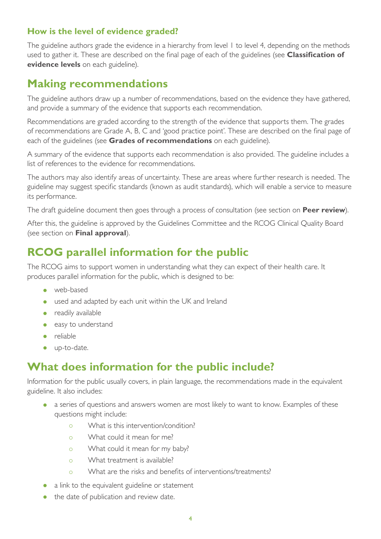#### **How is the level of evidence graded?**

The guideline authors grade the evidence in a hierarchy from level 1 to level 4, depending on the methods used to gather it. These are described on the final page of each of the guidelines (see **Classification of evidence levels** on each guideline).

#### **Making recommendations**

The guideline authors draw up a number of recommendations, based on the evidence they have gathered, and provide a summary of the evidence that supports each recommendation.

Recommendations are graded according to the strength of the evidence that supports them. The grades of recommendations are Grade A, B, C and 'good practice point'. These are described on the final page of each of the guidelines (see **Grades of recommendations** on each guideline).

A summary of the evidence that supports each recommendation is also provided. The guideline includes a list of references to the evidence for recommendations.

The authors may also identify areas of uncertainty. These are areas where further research is needed. The guideline may suggest specific standards (known as audit standards), which will enable a service to measure its performance.

The draft guideline document then goes through a process of consultation (see section on **Peer review**).

After this, the guideline is approved by the Guidelines Committee and the RCOG Clinical Quality Board (see section on **Final approval**).

### **RCOG parallel information for the public**

The RCOG aims to support women in understanding what they can expect of their health care. It produces parallel information for the public, which is designed to be:

- web-based
- used and adapted by each unit within the UK and Ireland
- readily available
- easy to understand
- reliable
- up-to-date.

# **What does information for the public include?**

Information for the public usually covers, in plain language, the recommendations made in the equivalent guideline. It also includes:

- a series of questions and answers women are most likely to want to know. Examples of these questions might include:
	- { What is this intervention/condition?
	- o What could it mean for me?
	- o What could it mean for my baby?
	- o What treatment is available?
	- { What are the risks and benefits of interventions/treatments?
- a link to the equivalent guideline or statement
- the date of publication and review date.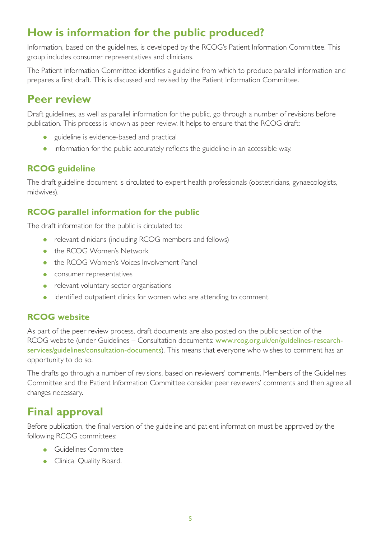# **How is information for the public produced?**

Information, based on the guidelines, is developed by the RCOG's Patient Information Committee. This group includes consumer representatives and clinicians.

The Patient Information Committee identifies a guideline from which to produce parallel information and prepares a first draft. This is discussed and revised by the Patient Information Committee.

#### **Peer review**

Draft guidelines, as well as parallel information for the public, go through a number of revisions before publication. This process is known as peer review. It helps to ensure that the RCOG draft:

- guideline is evidence-based and practical
- information for the public accurately reflects the guideline in an accessible way.

#### **RCOG guideline**

The draft guideline document is circulated to expert health professionals (obstetricians, gynaecologists, midwives).

#### **RCOG parallel information for the public**

The draft information for the public is circulated to:

- relevant clinicians (including RCOG members and fellows)
- the RCOG Women's Network
- the RCOG Women's Voices Involvement Panel
- consumer representatives
- relevant voluntary sector organisations
- identified outpatient clinics for women who are attending to comment.

#### **RCOG website**

As part of the peer review process, draft documents are also posted on the public section of the RCOG website (under Guidelines – Consultation documents: [www.rcog.org.uk/en/guidelines-research](https://www.rcog.org.uk/en/guidelines-research-services/guidelines/consultation-documents/)[services/guidelines/consultation-documents](https://www.rcog.org.uk/en/guidelines-research-services/guidelines/consultation-documents/)). This means that everyone who wishes to comment has an opportunity to do so.

The drafts go through a number of revisions, based on reviewers' comments. Members of the Guidelines Committee and the Patient Information Committee consider peer reviewers' comments and then agree all changes necessary.

#### **Final approval**

Before publication, the final version of the guideline and patient information must be approved by the following RCOG committees:

- Guidelines Committee
- Clinical Quality Boar[d.](http://www.rcog.org.uk/index.asp?PageID=369)